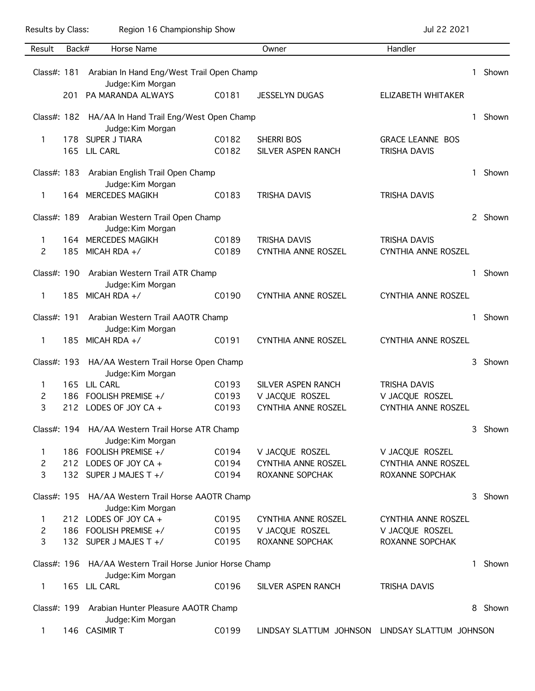Results by Class: Region 16 Championship Show Championship Show Jul 22 2021

| Result                                          | Back#             | Horse Name                                               |       | Owner                                           | Handler                    |    |         |  |
|-------------------------------------------------|-------------------|----------------------------------------------------------|-------|-------------------------------------------------|----------------------------|----|---------|--|
|                                                 |                   |                                                          |       |                                                 |                            |    |         |  |
| Class#: 181                                     |                   | Arabian In Hand Eng/West Trail Open Champ                |       |                                                 |                            | 1. | Shown   |  |
|                                                 |                   | Judge: Kim Morgan                                        |       |                                                 |                            |    |         |  |
|                                                 | 201               | PA MARANDA ALWAYS                                        | C0181 | <b>JESSELYN DUGAS</b>                           | ELIZABETH WHITAKER         |    |         |  |
|                                                 |                   |                                                          |       |                                                 |                            |    |         |  |
|                                                 |                   | Class#: 182 HA/AA In Hand Trail Eng/West Open Champ      |       |                                                 |                            | 1. | Shown   |  |
|                                                 |                   | Judge: Kim Morgan                                        |       |                                                 |                            |    |         |  |
| 1                                               |                   | 178 SUPER J TIARA                                        | C0182 | <b>SHERRI BOS</b>                               | <b>GRACE LEANNE BOS</b>    |    |         |  |
|                                                 |                   | 165 LIL CARL                                             | C0182 | SILVER ASPEN RANCH                              | <b>TRISHA DAVIS</b>        |    |         |  |
|                                                 |                   |                                                          |       |                                                 |                            |    |         |  |
|                                                 |                   | Class#: 183 Arabian English Trail Open Champ             |       |                                                 |                            | 1  | Shown   |  |
|                                                 |                   | Judge: Kim Morgan                                        |       |                                                 |                            |    |         |  |
| 1                                               |                   | 164 MERCEDES MAGIKH                                      | C0183 | <b>TRISHA DAVIS</b>                             | <b>TRISHA DAVIS</b>        |    |         |  |
|                                                 |                   |                                                          |       |                                                 |                            |    |         |  |
|                                                 |                   | Class#: 189 Arabian Western Trail Open Champ             |       |                                                 |                            |    | 2 Shown |  |
|                                                 |                   | Judge: Kim Morgan                                        |       |                                                 |                            |    |         |  |
| 1                                               |                   | 164 MERCEDES MAGIKH                                      | C0189 | <b>TRISHA DAVIS</b>                             | <b>TRISHA DAVIS</b>        |    |         |  |
| 2                                               | 185               | MICAH RDA $+$ /                                          | C0189 | CYNTHIA ANNE ROSZEL                             | CYNTHIA ANNE ROSZEL        |    |         |  |
|                                                 |                   |                                                          |       |                                                 |                            |    |         |  |
| Class#: 190                                     |                   | Arabian Western Trail ATR Champ                          |       |                                                 |                            | 1. | Shown   |  |
|                                                 |                   | Judge: Kim Morgan                                        |       |                                                 |                            |    |         |  |
| 1                                               | 185               | MICAH RDA $+$ /                                          | C0190 | <b>CYNTHIA ANNE ROSZEL</b>                      | <b>CYNTHIA ANNE ROSZEL</b> |    |         |  |
|                                                 |                   |                                                          |       |                                                 |                            |    |         |  |
|                                                 |                   | Class#: 191 Arabian Western Trail AAOTR Champ            |       |                                                 |                            | 1  | Shown   |  |
|                                                 |                   | Judge: Kim Morgan                                        |       |                                                 |                            |    |         |  |
| 1                                               | 185.              | MICAH RDA $+$ /                                          | C0191 | <b>CYNTHIA ANNE ROSZEL</b>                      | CYNTHIA ANNE ROSZEL        |    |         |  |
| Class#: 193                                     |                   | HA/AA Western Trail Horse Open Champ                     |       |                                                 |                            | 3  | Shown   |  |
|                                                 |                   | Judge: Kim Morgan                                        |       |                                                 |                            |    |         |  |
| 1                                               |                   | 165 LIL CARL                                             | C0193 | <b>SILVER ASPEN RANCH</b>                       | <b>TRISHA DAVIS</b>        |    |         |  |
| 2                                               |                   | 186 FOOLISH PREMISE +/                                   | C0193 | V JACQUE ROSZEL                                 | V JACQUE ROSZEL            |    |         |  |
| 3                                               |                   | 212 LODES OF JOY CA +                                    | C0193 | CYNTHIA ANNE ROSZEL                             | CYNTHIA ANNE ROSZEL        |    |         |  |
|                                                 |                   |                                                          |       |                                                 |                            |    |         |  |
| Class#: 194 HA/AA Western Trail Horse ATR Champ |                   |                                                          |       |                                                 |                            | 3  | Shown   |  |
|                                                 |                   | Judge: Kim Morgan                                        |       |                                                 |                            |    |         |  |
| 1                                               |                   | 186 FOOLISH PREMISE +/                                   | C0194 | V JACQUE ROSZEL                                 | V JACQUE ROSZEL            |    |         |  |
| 2                                               |                   | 212 LODES OF JOY CA +                                    | C0194 | <b>CYNTHIA ANNE ROSZEL</b>                      | CYNTHIA ANNE ROSZEL        |    |         |  |
| 3                                               |                   | 132 SUPER J MAJES T +/                                   | C0194 | ROXANNE SOPCHAK                                 | ROXANNE SOPCHAK            |    |         |  |
|                                                 |                   |                                                          |       |                                                 |                            |    |         |  |
| Class#: 195                                     |                   | HA/AA Western Trail Horse AAOTR Champ                    |       |                                                 |                            | 3  | Shown   |  |
|                                                 |                   | Judge: Kim Morgan                                        |       |                                                 |                            |    |         |  |
| 1                                               |                   | 212 LODES OF JOY CA +                                    | C0195 | CYNTHIA ANNE ROSZEL                             | <b>CYNTHIA ANNE ROSZEL</b> |    |         |  |
| 2                                               |                   | 186 FOOLISH PREMISE +/                                   | C0195 | V JACQUE ROSZEL                                 | V JACQUE ROSZEL            |    |         |  |
| 3                                               |                   | 132 SUPER J MAJES T +/                                   | C0195 | ROXANNE SOPCHAK                                 | ROXANNE SOPCHAK            |    |         |  |
|                                                 |                   |                                                          |       |                                                 |                            |    |         |  |
|                                                 |                   | Class#: 196 HA/AA Western Trail Horse Junior Horse Champ |       |                                                 |                            | 1. | Shown   |  |
|                                                 |                   | Judge: Kim Morgan                                        |       |                                                 |                            |    |         |  |
| 1                                               |                   | 165 LIL CARL                                             | C0196 | SILVER ASPEN RANCH                              | TRISHA DAVIS               |    |         |  |
|                                                 |                   |                                                          |       |                                                 |                            |    |         |  |
|                                                 |                   | Class#: 199 Arabian Hunter Pleasure AAOTR Champ          |       |                                                 |                            | 8  | Shown   |  |
|                                                 | Judge: Kim Morgan |                                                          |       |                                                 |                            |    |         |  |
| 1                                               |                   | 146 CASIMIR T                                            | C0199 | LINDSAY SLATTUM JOHNSON LINDSAY SLATTUM JOHNSON |                            |    |         |  |